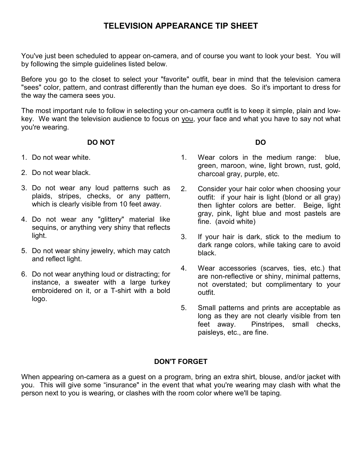# TELEVISION APPEARANCE TIP SHEET

You've just been scheduled to appear on-camera, and of course you want to look your best. You will by following the simple guidelines listed below.

Before you go to the closet to select your "favorite" outfit, bear in mind that the television camera "sees" color, pattern, and contrast differently than the human eye does. So it's important to dress for the way the camera sees you.

The most important rule to follow in selecting your on-camera outfit is to keep it simple, plain and lowkey. We want the television audience to focus on you, your face and what you have to say not what you're wearing.

## DO NOT

- 1. Do not wear white.
- 2. Do not wear black.
- 3. Do not wear any loud patterns such as plaids, stripes, checks, or any pattern, which is clearly visible from 10 feet away.
- 4. Do not wear any "glittery" material like sequins, or anything very shiny that reflects light.
- 5. Do not wear shiny jewelry, which may catch and reflect light.
- 6. Do not wear anything loud or distracting; for instance, a sweater with a large turkey embroidered on it, or a T-shirt with a bold logo.
- 1. Wear colors in the medium range: blue, green, maroon, wine, light brown, rust, gold, charcoal gray, purple, etc.
- 2. Consider your hair color when choosing your outfit: if your hair is light (blond or all gray) then lighter colors are better. Beige, light gray, pink, light blue and most pastels are fine. (avoid white)
- 3. If your hair is dark, stick to the medium to dark range colors, while taking care to avoid black.
- 4. Wear accessories (scarves, ties, etc.) that are non-reflective or shiny, minimal patterns, not overstated; but complimentary to your outfit.
- 5. Small patterns and prints are acceptable as long as they are not clearly visible from ten feet away. Pinstripes, small checks, paisleys, etc., are fine.

# DON'T FORGET

When appearing on-camera as a guest on a program, bring an extra shirt, blouse, and/or jacket with you. This will give some "insurance" in the event that what you're wearing may clash with what the person next to you is wearing, or clashes with the room color where we'll be taping.

DO